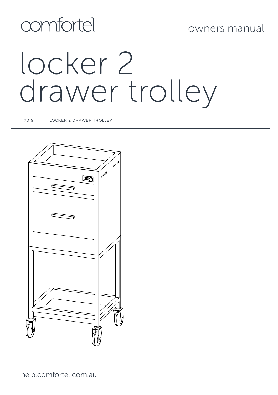## comfortel

# locker 2 drawer trolley

#7019 LOCKER 2 DRAWER TROLLEY